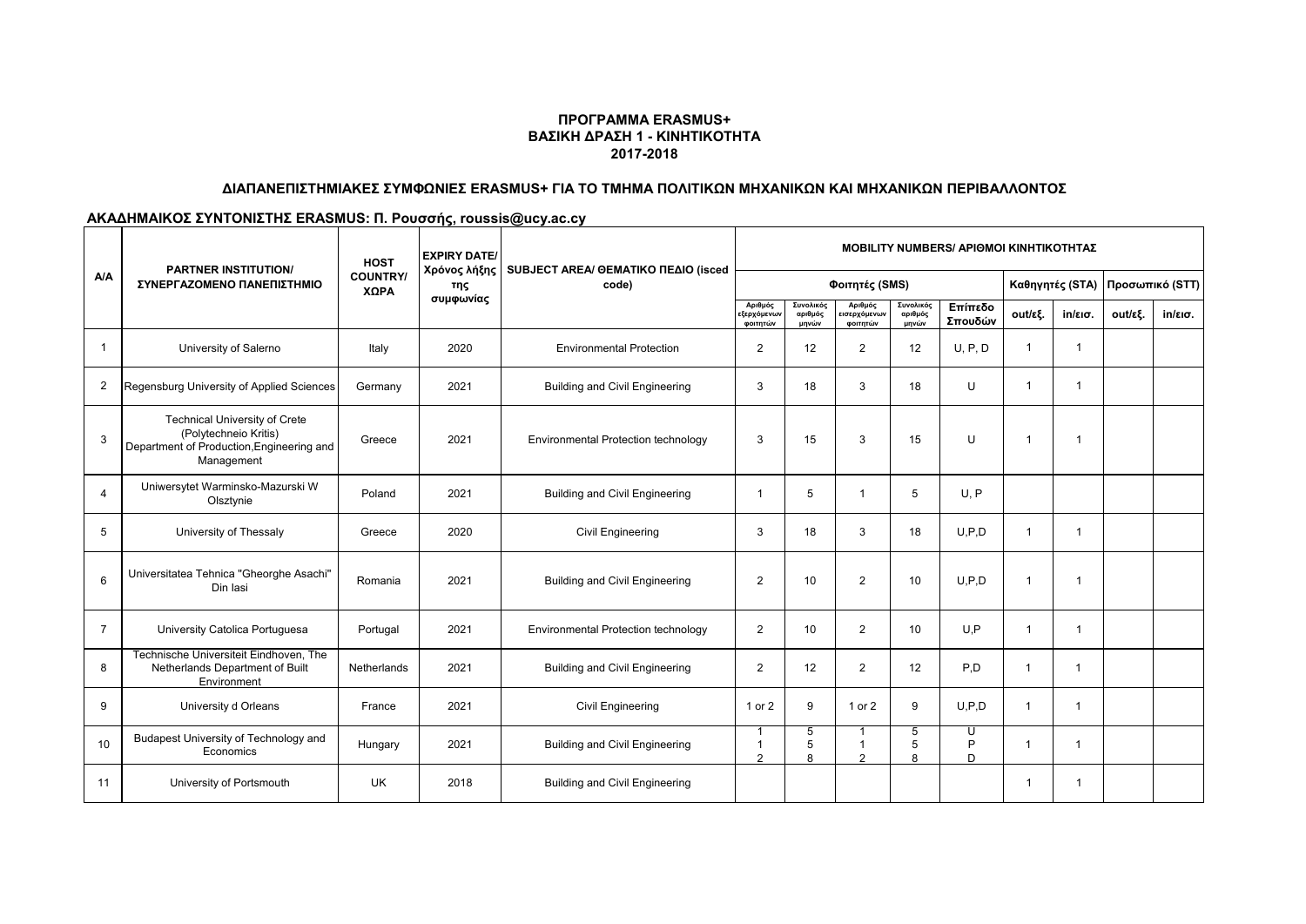#### **ΠΡΟΓΡΑΜΜΑ ERASMUS+ ΒΑΣΙΚΗ ΔΡΑΣΗ 1 - ΚΙΝΗΤΙΚΟΤΗΤΑ 2017-2018**

### **ΔΙΑΠΑΝΕΠΙΣΤΗΜΙΑΚΕΣ ΣΥΜΦΩΝΙΕΣ ERASMUS+ ΓΙΑ ΤΟ ΤΜΗΜΑ ΠΟΛΙΤΙΚΩΝ ΜΗΧΑΝΙΚΩΝ ΚΑΙ ΜΗΧΑΝΙΚΩΝ ΠΕΡΙΒΑΛΛΟΝΤΟΣ**

# **ΑΚΑΔΗΜΑΙΚΟΣ ΣΥΝΤΟΝΙΣΤΗΣ ERASMUS: Π. Ρουσσής, roussis@ucy.ac.cy**

| <b>A/A</b>     | <b>PARTNER INSTITUTION/</b><br>ΣΥΝΕΡΓΑΖΟΜΕΝΟ ΠΑΝΕΠΙΣΤΗΜΙΟ                                                                | <b>HOST</b><br><b>COUNTRY/</b><br>ΧΩΡΑ | <b>EXPIRY DATE/</b><br>Χρόνος λήξης<br>της<br>συμφωνίας | SUBJECT AREA/ @EMATIKO ΠΕΔΙΟ (isced<br>code) | <b>MOBILITY NUMBERS/ APIOMOI KINHTIKOTHTAZ</b> |                               |                                            |                               |                    |                 |                   |                 |                   |
|----------------|--------------------------------------------------------------------------------------------------------------------------|----------------------------------------|---------------------------------------------------------|----------------------------------------------|------------------------------------------------|-------------------------------|--------------------------------------------|-------------------------------|--------------------|-----------------|-------------------|-----------------|-------------------|
|                |                                                                                                                          |                                        |                                                         |                                              | Φοιτητές (SMS)                                 |                               |                                            |                               |                    | Καθηγητές (STA) |                   | Προσωπικό (STT) |                   |
|                |                                                                                                                          |                                        |                                                         |                                              | Αριθμός<br>εξερχόμενων<br>φοιτητών             | Συνολικός<br>αριθμός<br>μηνών | Αριθμός<br>ισερχόμενω <b>ν</b><br>φοιτητών | Συνολικός<br>αριθμός<br>μηνών | Επίπεδο<br>Σπουδών | out/εξ.         | $in/\epsilon$ ισ. | out/εξ.         | $in/\epsilon$ ισ. |
| -1             | University of Salerno                                                                                                    | Italy                                  | 2020                                                    | <b>Environmental Protection</b>              | 2                                              | 12                            | 2                                          | 12                            | U, P, D            | 1               |                   |                 |                   |
| $\overline{2}$ | Regensburg University of Applied Sciences                                                                                | Germany                                | 2021                                                    | <b>Building and Civil Engineering</b>        | 3                                              | 18                            | 3                                          | 18                            | U                  | 1               |                   |                 |                   |
| 3              | <b>Technical University of Crete</b><br>(Polytechneio Kritis)<br>Department of Production, Engineering and<br>Management | Greece                                 | 2021                                                    | <b>Environmental Protection technology</b>   | 3                                              | 15                            | 3                                          | 15                            | U                  | 1               |                   |                 |                   |
| $\overline{4}$ | Uniwersytet Warminsko-Mazurski W<br>Olsztynie                                                                            | Poland                                 | 2021                                                    | <b>Building and Civil Engineering</b>        | 1                                              | 5                             |                                            | 5                             | U, P               |                 |                   |                 |                   |
| 5              | University of Thessaly                                                                                                   | Greece                                 | 2020                                                    | <b>Civil Engineering</b>                     | 3                                              | 18                            | 3                                          | 18                            | U.P.D              |                 | -1                |                 |                   |
| 6              | Universitatea Tehnica "Gheorghe Asachi"<br>Din lasi                                                                      | Romania                                | 2021                                                    | <b>Building and Civil Engineering</b>        | $\mathbf{2}$                                   | 10                            | $\overline{2}$                             | 10                            | U.P.D              | $\mathbf 1$     |                   |                 |                   |
| $\overline{7}$ | University Catolica Portuguesa                                                                                           | Portugal                               | 2021                                                    | <b>Environmental Protection technology</b>   | $\overline{2}$                                 | 10                            | $\overline{2}$                             | 10                            | U.P                | 1               |                   |                 |                   |
| 8              | Technische Universiteit Eindhoven, The<br>Netherlands Department of Built<br>Environment                                 | Netherlands                            | 2021                                                    | <b>Building and Civil Engineering</b>        | $\overline{2}$                                 | 12                            | $\overline{2}$                             | 12                            | P,D                |                 | 1                 |                 |                   |
| 9              | University d Orleans                                                                                                     | France                                 | 2021                                                    | <b>Civil Engineering</b>                     | 1 or 2                                         | 9                             | 1 or 2                                     | 9                             | U.P.D              |                 | 1                 |                 |                   |
| 10             | Budapest University of Technology and<br>Economics                                                                       | Hungary                                | 2021                                                    | <b>Building and Civil Engineering</b>        | $\mathcal{L}$                                  | 5<br>5<br>$\Omega$            | ົ                                          | 5<br>5<br>$\Omega$            | U<br>P<br>D        |                 | 1                 |                 |                   |
| 11             | University of Portsmouth                                                                                                 | <b>UK</b>                              | 2018                                                    | <b>Building and Civil Engineering</b>        |                                                |                               |                                            |                               |                    |                 |                   |                 |                   |